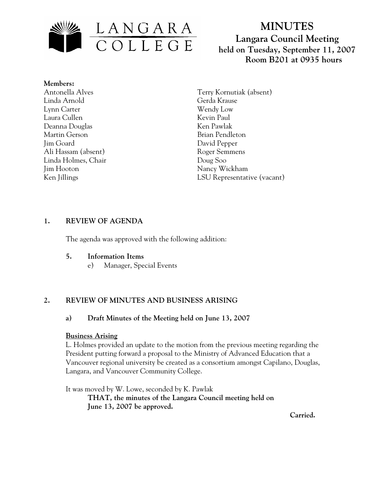

# **MINUTES Langara Council Meeting held on Tuesday, September 11, 2007 Room B201 at 0935 hours**

**Members:** Antonella Alves Linda Arnold Lynn Carter Laura Cullen Deanna Douglas Martin Gerson Jim Goard Ali Hassam (absent) Linda Holmes, Chair Jim Hooton Ken Jillings

Terry Kornutiak (absent) Gerda Krause Wendy Low Kevin Paul Ken Pawlak Brian Pendleton David Pepper Roger Semmens Doug Soo Nancy Wickham LSU Representative (vacant)

# **1. REVIEW OF AGENDA**

The agenda was approved with the following addition:

#### **5. Information Items**

e) Manager, Special Events

# **2. REVIEW OF MINUTES AND BUSINESS ARISING**

# **a) Draft Minutes of the Meeting held on June 13, 2007**

#### **Business Arising**

L. Holmes provided an update to the motion from the previous meeting regarding the President putting forward a proposal to the Ministry of Advanced Education that a Vancouver regional university be created as a consortium amongst Capilano, Douglas, Langara, and Vancouver Community College.

It was moved by W. Lowe, seconded by K. Pawlak  **THAT, the minutes of the Langara Council meeting held on June 13, 2007 be approved.** 

 **Carried.**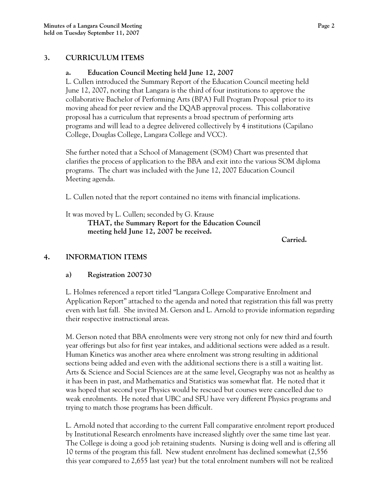#### **3. CURRICULUM ITEMS**

#### **a. Education Council Meeting held June 12, 2007**

L. Cullen introduced the Summary Report of the Education Council meeting held June 12, 2007, noting that Langara is the third of four institutions to approve the collaborative Bachelor of Performing Arts (BPA) Full Program Proposal prior to its moving ahead for peer review and the DQAB approval process. This collaborative proposal has a curriculum that represents a broad spectrum of performing arts programs and will lead to a degree delivered collectively by 4 institutions (Capilano College, Douglas College, Langara College and VCC).

She further noted that a School of Management (SOM) Chart was presented that clarifies the process of application to the BBA and exit into the various SOM diploma programs. The chart was included with the June 12, 2007 Education Council Meeting agenda.

L. Cullen noted that the report contained no items with financial implications.

It was moved by L. Cullen; seconded by G. Krause **THAT, the Summary Report for the Education Council meeting held June 12, 2007 be received.** 

**Carried.** 

# **4. INFORMATION ITEMS**

# **a) Registration 200730**

L. Holmes referenced a report titled "Langara College Comparative Enrolment and Application Report" attached to the agenda and noted that registration this fall was pretty even with last fall. She invited M. Gerson and L. Arnold to provide information regarding their respective instructional areas.

M. Gerson noted that BBA enrolments were very strong not only for new third and fourth year offerings but also for first year intakes, and additional sections were added as a result. Human Kinetics was another area where enrolment was strong resulting in additional sections being added and even with the additional sections there is a still a waiting list. Arts & Science and Social Sciences are at the same level, Geography was not as healthy as it has been in past, and Mathematics and Statistics was somewhat flat. He noted that it was hoped that second year Physics would be rescued but courses were cancelled due to weak enrolments. He noted that UBC and SFU have very different Physics programs and trying to match those programs has been difficult.

L. Arnold noted that according to the current Fall comparative enrolment report produced by Institutional Research enrolments have increased slightly over the same time last year. The College is doing a good job retaining students. Nursing is doing well and is offering all 10 terms of the program this fall. New student enrolment has declined somewhat (2,556 this year compared to 2,655 last year) but the total enrolment numbers will not be realized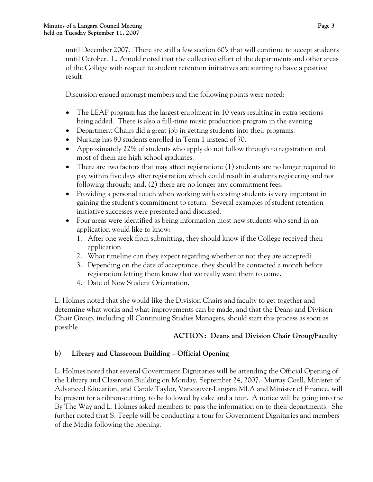until December 2007. There are still a few section 60's that will continue to accept students until October. L. Arnold noted that the collective effort of the departments and other areas of the College with respect to student retention initiatives are starting to have a positive result.

Discussion ensued amongst members and the following points were noted:

- The LEAP program has the largest enrolment in 10 years resulting in extra sections being added. There is also a full-time music production program in the evening.
- Department Chairs did a great job in getting students into their programs.
- Nursing has 80 students enrolled in Term 1 instead of 70.
- Approximately 22% of students who apply do not follow through to registration and most of them are high school graduates.
- There are two factors that may affect registration: (1) students are no longer required to pay within five days after registration which could result in students registering and not following through; and, (2) there are no longer any commitment fees.
- Providing a personal touch when working with existing students is very important in gaining the student's commitment to return. Several examples of student retention initiative successes were presented and discussed.
- Four areas were identified as being information most new students who send in an application would like to know:
	- 1. After one week from submitting, they should know if the College received their application.
	- 2. What timeline can they expect regarding whether or not they are accepted?
	- 3. Depending on the date of acceptance, they should be contacted a month before registration letting them know that we really want them to come.
	- 4. Date of New Student Orientation.

L. Holmes noted that she would like the Division Chairs and faculty to get together and determine what works and what improvements can be made, and that the Deans and Division Chair Group, including all Continuing Studies Managers, should start this process as soon as possible.

# **ACTION: Deans and Division Chair Group/Faculty**

# **b) Library and Classroom Building – Official Opening**

L. Holmes noted that several Government Dignitaries will be attending the Official Opening of the Library and Classroom Building on Monday, September 24, 2007. Murray Coell, Minister of Advanced Education, and Carole Taylor, Vancouver-Langara MLA and Minister of Finance, will be present for a ribbon-cutting, to be followed by cake and a tour. A notice will be going into the By The Way and L. Holmes asked members to pass the information on to their departments. She further noted that S. Teeple will be conducting a tour for Government Dignitaries and members of the Media following the opening.